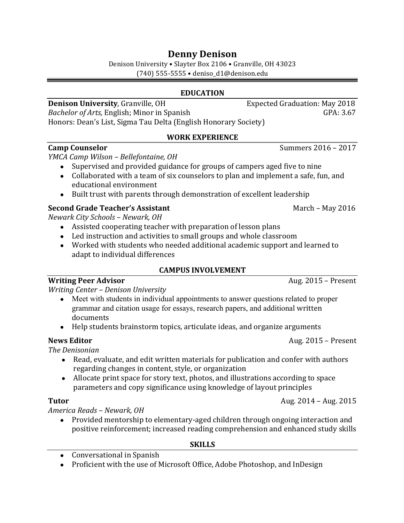# **Denny Denison**

Denison University • Slayter Box 2106 • Granville, OH 43023 (740) 555-5555 • deniso\_d1@denison.edu 

### **EDUCATION**

### **Denison University**, Granville, OH Expected Graduation: May 2018

*Bachelor of Arts,* English; Minor in Spanish GPA: 3.67 Honors: Dean's List, Sigma Tau Delta (English Honorary Society)

### **WORK EXPERIENCE**

### **Camp Counselor Camp** Counselor **Camp** Counselor

### *YMCA Camp Wilson – Bellefontaine, OH*

- Supervised and provided guidance for groups of campers aged five to nine
- Collaborated with a team of six counselors to plan and implement a safe, fun, and educational environment
- Built trust with parents through demonstration of excellent leadership

### **Second Grade Teacher's Assistant** March – May 2016

*Newark City Schools – Newark, OH* 

- Assisted cooperating teacher with preparation of lesson plans
- Led instruction and activities to small groups and whole classroom
- Worked with students who needed additional academic support and learned to adapt to individual differences

### **CAMPUS INVOLVEMENT**

**Writing Peer Advisor** *N Metally <b>COVEC Metally <b>COVEC Aug.* 2015 – Present

*Writing Center – Denison University*

- Meet with students in individual appointments to answer questions related to proper grammar and citation usage for essays, research papers, and additional written documents
- Help students brainstorm topics, articulate ideas, and organize arguments

### **News Editor**  Aug. 2015 – Present

*The Denisonian*

- Read, evaluate, and edit written materials for publication and confer with authors regarding changes in content, style, or organization
- Allocate print space for story text, photos, and illustrations according to space parameters and copy significance using knowledge of layout principles

*America Reads – Newark, OH*

• Provided mentorship to elementary-aged children through ongoing interaction and positive reinforcement; increased reading comprehension and enhanced study skills

### **SKILLS**

- Conversational in Spanish
- Proficient with the use of Microsoft Office, Adobe Photoshop, and InDesign

**Tutor** Aug. 2014 – Aug. 2015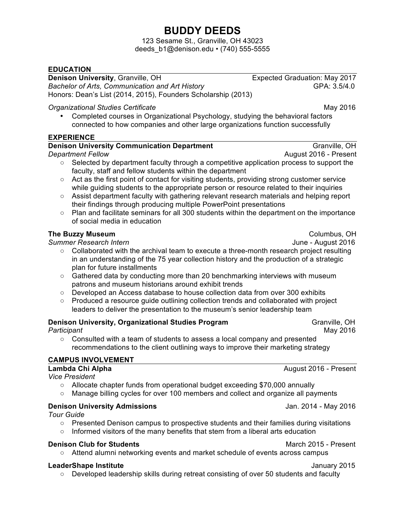# **BUDDY DEEDS**

123 Sesame St., Granville, OH 43023 deeds\_b1@denison.edu • (740) 555-5555

### **EDUCATION**

**Denison University**, Granville, OH **Branch Branch Channel Constructs** Expected Graduation: May 2017

**Bachelor of Arts, Communication and Art History GPA: 3.5/4.0 GPA: 3.5/4.0** Honors: Dean's List (2014, 2015), Founders Scholarship (2013)

### **Organizational Studies Certificate** May 2016

• Completed courses in Organizational Psychology, studying the behavioral factors connected to how companies and other large organizations function successfully

### **EXPERIENCE**

### **Denison University Communication Department Granville, OH** Granville, OH

*Department Fellow* August 2016 - Present

- **○** Selected by department faculty through a competitive application process to support the faculty, staff and fellow students within the department
- **○** Act as the first point of contact for visiting students, providing strong customer service while guiding students to the appropriate person or resource related to their inquiries
- **○** Assist department faculty with gathering relevant research materials and helping report their findings through producing multiple PowerPoint presentations
- **○** Plan and facilitate seminars for all 300 students within the department on the importance of social media in education

### **The Buzzy Museum**  Columbus, OH

*Summer Research Intern* June - August 2016

- **○** Collaborated with the archival team to execute a three-month research project resulting in an understanding of the 75 year collection history and the production of a strategic plan for future installments
- **○** Gathered data by conducting more than 20 benchmarking interviews with museum patrons and museum historians around exhibit trends
- **○** Developed an Access database to house collection data from over 300 exhibits
- **○** Produced a resource guide outlining collection trends and collaborated with project leaders to deliver the presentation to the museum's senior leadership team

### **Denison University, Organizational Studies Program Markoll Constructs Constructs Cranville, OH**

**Participant** May 2016

**○** Consulted with a team of students to assess a local company and presented recommendations to the client outlining ways to improve their marketing strategy

### **CAMPUS INVOLVEMENT**

| Lambda Chi Alpha                                                                       | August 2016 - Present |
|----------------------------------------------------------------------------------------|-----------------------|
| <b>Vice President</b>                                                                  |                       |
| Allocate chapter funds from operational budget exceeding \$70,000 annually<br>$\circ$  |                       |
| Manage billing cycles for over 100 members and collect and organize all payments       |                       |
| <b>Denison University Admissions</b>                                                   | Jan. 2014 - May 2016  |
| <b>Tour Guide</b>                                                                      |                       |
| Presented Denison campus to prospective students and their families during visitations |                       |

**○** Informed visitors of the many benefits that stem from a liberal arts education

### **Denison Club for Students March 2015 - Present March 2015 - Present**

**○** Attend alumni networking events and market schedule of events across campus

### **LeaderShape Institute** January 2015

**○** Developed leadership skills during retreat consisting of over 50 students and faculty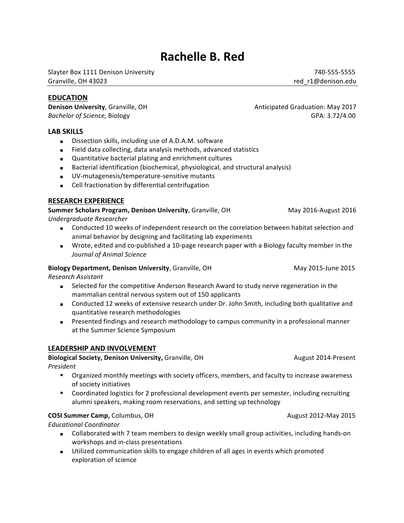# **Rachelle B. Red**

Slayter Box 1111 Denison University **Accord 2018** 2019 12:00 12:00 2019 12:00 2019 12:00 2019 12:00 2019 12:00 Granville, OH 43023 contract the contract of the contract of the contract of the contract of the contract of the contract of the contract of the contract of the contract of the contract of the contract of the contract

### **EDUCATION**

**Bachelor of Science, Biology GPA: 3.72/4.00** 

### **LAB SKILLS**

- Dissection skills, including use of A.D.A.M. software
- Field data collecting, data analysis methods, advanced statistics
- Quantitative bacterial plating and enrichment cultures
- Bacterial identification (biochemical, physiological, and structural analysis)
- UV-mutagenesis/temperature-sensitive mutants
- Cell fractionation by differential centrifugation

### **RESEARCH EXPERIENCE**

**Summer Scholars Program, Denison University**, Granville, OH May 2016-August 2016 *Undergraduate Researcher*

- Conducted 10 weeks of independent research on the correlation between habitat selection and animal behavior by designing and facilitating lab experiments
	- Wrote, edited and co-published a 10-page research paper with a Biology faculty member in the *Journal of Animal Science*

### **Biology Department, Denison University**, Granville, OH May 2015-June 2015

*Research Assistant*

- Selected for the competitive Anderson Research Award to study nerve regeneration in the mammalian central nervous system out of 150 applicants
- Conducted 12 weeks of extensive research under Dr. John Smith, including both qualitative and quantitative research methodologies
- Presented findings and research methodology to campus community in a professional manner at the Summer Science Symposium

### **LEADERSHIP AND INVOLVEMENT**

**Biological Society, Denison University,** Granville, OH August 2014-Present *President*

- Organized monthly meetings with society officers, members, and faculty to increase awareness of society initiatives
- Coordinated logistics for 2 professional development events per semester, including recruiting alumni speakers, making room reservations, and setting up technology

### **COSI Summer Camp, Columbus, OH August 2012-May 2015**

*Educational Coordinator*

- Collaborated with 7 team members to design weekly small group activities, including hands-on workshops and in-class presentations
- Utilized communication skills to engage children of all ages in events which promoted exploration of science

**Denison University**, Granville, OH Anticipated Graduation: May 2017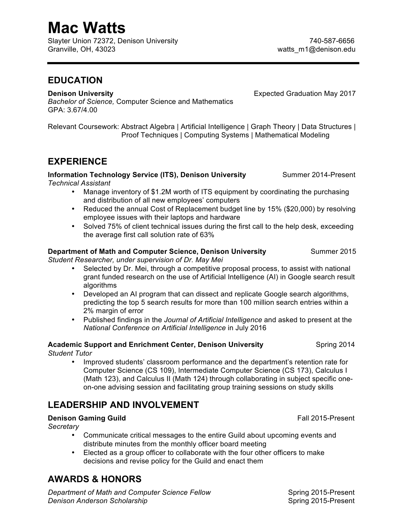# **Mac Watts**

Slayter Union 72372, Denison University (2008) 2008 2012 2014 2015 2016 2017 2018 Granville, OH, 43023 (Granville, OH, 43023 (Granville, Matter music music music music music music music music music music music music music music music music music music music music music music music music music music musi

### **EDUCATION**

**Denison\$University \$\$\$\$\$\$\$\$**Expected(Graduation(May(2017

**Bachelor of Science, Computer Science and Mathematics** GPA: 3.67/4.00

Relevant Coursework: Abstract Algebra | Artificial Intelligence | Graph Theory | Data Structures | Proof Techniques | Computing Systems | Mathematical Modeling

# **EXPERIENCE**

**Information Technology Service (ITS), Denison University Summer 2014-Present** 

 $Technical Assistent$ 

- Manage inventory of \$1.2M worth of ITS equipment by coordinating the purchasing and distribution of all new employees' computers
- Reduced the annual Cost of Replacement budget line by 15% (\$20,000) by resolving employee issues with their laptops and hardware
- Solved 75% of client technical issues during the first call to the help desk, exceeding the average first call solution rate of 63%

### **Department of Math and Computer Science, Denison University Summer 2015**

**Student Researcher, under supervision of Dr. May Mei** 

- Selected by Dr. Mei, through a competitive proposal process, to assist with national grant funded research on the use of Artificial Intelligence (AI) in Google search result algorithms
- Developed an AI program that can dissect and replicate Google search algorithms, predicting the top 5 search results for more than 100 million search entries within a 2% margin of error
- Published findings in the *Journal of Artificial Intelligence* and asked to present at the *National)Conference)on)Artificial Intelligence* in(July(2016

### **Academic Support and Enrichment Center, Denison University Spring 2014** *Student Tutor*

Improved students' classroom performance and the department's retention rate for Computer Science (CS 109), Intermediate Computer Science (CS 173), Calculus I (Math 123), and Calculus II (Math 124) through collaborating in subject specific oneon-one advising session and facilitating group training sessions on study skills

# **LEADERSHIP AND INVOLVEMENT**

### **Denison Gaming Guild \$5 and Fall 2015-Present**

 $S$ *ecretary* 

- Communicate critical messages to the entire Guild about upcoming events and distribute minutes from the monthly officer board meeting
- Elected as a group officer to collaborate with the four other officers to make decisions and revise policy for the Guild and enact them

# **AWARDS & HONORS**

**Department of Math and Computer Science Fellow \$\$\$\$ \$\$** Spring 2015-Present **Denison Anderson Scholarship**   $\blacksquare$  **2015-Present 1.1 Spring 2015-Present**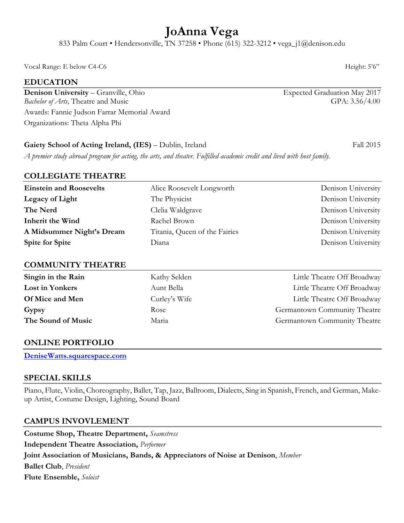# **JoAnna Vega**

833 Palm Court • Hendersonville, TN 37258 • Phone (615) 322-3212 • vega\_j1@denison.edu

Vocal Range: E below C4-C6 Height: 5'6"

### **EDUCATION**

**Denison University** – Granville, Ohio Expected Graduation May 2017 *Bachelor of Arts,* Theatre and Music GPA: 3.56/4.00 Awards: Fannie Judson Farrar Memorial Award Organizations: Theta Alpha Phi

### Gaiety School of Acting Ireland, (IES) – Dublin, Ireland Fall 2015

*A premier study abroad program for acting, the arts, and theater. Fulfilled academic credit and lived with host family.*

### **COLLEGIATE THEATRE**

| <b>Einstein and Roosevelts</b> | Alice Roosevelt Longworth     | Denison University |
|--------------------------------|-------------------------------|--------------------|
| Legacy of Light                | The Physicist                 | Denison University |
| The Nerd                       | Clelia Waldgrave              | Denison University |
| <b>Inherit the Wind</b>        | Rachel Brown                  | Denison University |
| A Midsummer Night's Dream      | Titania, Queen of the Fairies | Denison University |
| <b>Spite for Spite</b>         | Diana                         | Denison University |

### **COMMUNITY THEATRE**

| Singin in the Rain     | Kathy Selden  | Little Theatre Off Broadway  |
|------------------------|---------------|------------------------------|
| <b>Lost in Yonkers</b> | Aunt Bella    | Little Theatre Off Broadway  |
| <b>Of Mice and Men</b> | Curley's Wife | Little Theatre Off Broadway  |
| Gypsy                  | Rose          | Germantown Community Theatre |
| The Sound of Music     | Maria         | Germantown Community Theatre |

### **ONLINE PORTFOLIO**

**DeniseWatts.squarespace.com**

### **SPECIAL SKILLS**

Piano, Flute, Violin, Choreography, Ballet, Tap, Jazz, Ballroom, Dialects, Sing in Spanish, French, and German, Makeup Artist, Costume Design, Lighting, Sound Board

### **CAMPUS INVOVLEMENT**

**Costume Shop, Theatre Department,** *Seamstress* **Independent Theatre Association,** *Performer* **Joint Association of Musicians, Bands, & Appreciators of Noise at Denison**, *Member* **Ballet Club**, *President* **Flute Ensemble,** *Soloist*